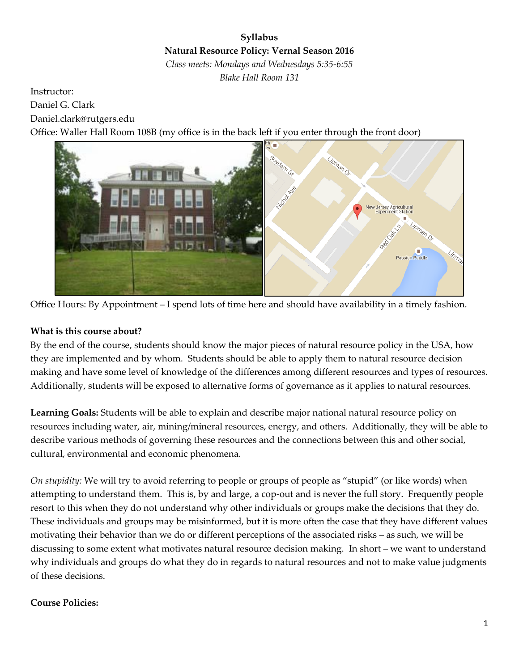# **Syllabus Natural Resource Policy: Vernal Season 2016** *Class meets: Mondays and Wednesdays 5:35-6:55*

*Blake Hall Room 131*

Instructor: Daniel G. Clark Daniel.clark@rutgers.edu Office: Waller Hall Room 108B (my office is in the back left if you enter through the front door)



Office Hours: By Appointment – I spend lots of time here and should have availability in a timely fashion.

## **What is this course about?**

By the end of the course, students should know the major pieces of natural resource policy in the USA, how they are implemented and by whom. Students should be able to apply them to natural resource decision making and have some level of knowledge of the differences among different resources and types of resources. Additionally, students will be exposed to alternative forms of governance as it applies to natural resources.

**Learning Goals:** Students will be able to explain and describe major national natural resource policy on resources including water, air, mining/mineral resources, energy, and others. Additionally, they will be able to describe various methods of governing these resources and the connections between this and other social, cultural, environmental and economic phenomena.

*On stupidity:* We will try to avoid referring to people or groups of people as "stupid" (or like words) when attempting to understand them. This is, by and large, a cop-out and is never the full story. Frequently people resort to this when they do not understand why other individuals or groups make the decisions that they do. These individuals and groups may be misinformed, but it is more often the case that they have different values motivating their behavior than we do or different perceptions of the associated risks – as such, we will be discussing to some extent what motivates natural resource decision making. In short – we want to understand why individuals and groups do what they do in regards to natural resources and not to make value judgments of these decisions.

## **Course Policies:**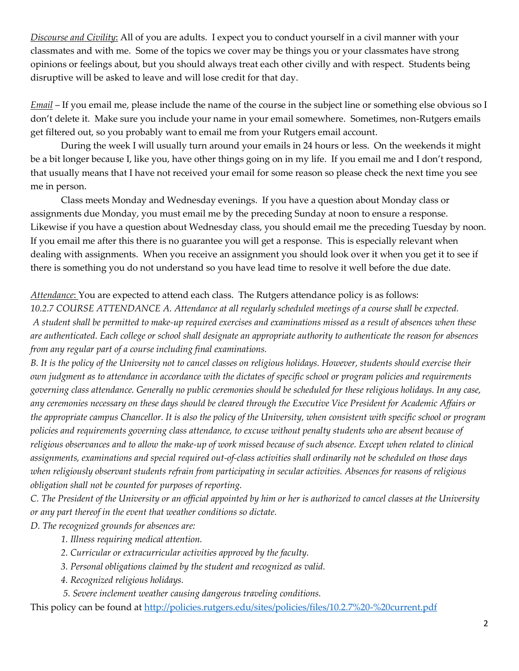*Discourse and Civility*: All of you are adults. I expect you to conduct yourself in a civil manner with your classmates and with me. Some of the topics we cover may be things you or your classmates have strong opinions or feelings about, but you should always treat each other civilly and with respect. Students being disruptive will be asked to leave and will lose credit for that day.

*Email* – If you email me, please include the name of the course in the subject line or something else obvious so I don't delete it. Make sure you include your name in your email somewhere. Sometimes, non-Rutgers emails get filtered out, so you probably want to email me from your Rutgers email account.

During the week I will usually turn around your emails in 24 hours or less. On the weekends it might be a bit longer because I, like you, have other things going on in my life. If you email me and I don't respond, that usually means that I have not received your email for some reason so please check the next time you see me in person.

Class meets Monday and Wednesday evenings. If you have a question about Monday class or assignments due Monday, you must email me by the preceding Sunday at noon to ensure a response. Likewise if you have a question about Wednesday class, you should email me the preceding Tuesday by noon. If you email me after this there is no guarantee you will get a response. This is especially relevant when dealing with assignments. When you receive an assignment you should look over it when you get it to see if there is something you do not understand so you have lead time to resolve it well before the due date.

## *Attendance*: You are expected to attend each class. The Rutgers attendance policy is as follows:

*10.2.7 COURSE ATTENDANCE A. Attendance at all regularly scheduled meetings of a course shall be expected. A student shall be permitted to make-up required exercises and examinations missed as a result of absences when these are authenticated. Each college or school shall designate an appropriate authority to authenticate the reason for absences from any regular part of a course including final examinations.* 

*B. It is the policy of the University not to cancel classes on religious holidays. However, students should exercise their own judgment as to attendance in accordance with the dictates of specific school or program policies and requirements governing class attendance. Generally no public ceremonies should be scheduled for these religious holidays. In any case, any ceremonies necessary on these days should be cleared through the Executive Vice President for Academic Affairs or the appropriate campus Chancellor. It is also the policy of the University, when consistent with specific school or program policies and requirements governing class attendance, to excuse without penalty students who are absent because of religious observances and to allow the make-up of work missed because of such absence. Except when related to clinical assignments, examinations and special required out-of-class activities shall ordinarily not be scheduled on those days when religiously observant students refrain from participating in secular activities. Absences for reasons of religious obligation shall not be counted for purposes of reporting.* 

*C. The President of the University or an official appointed by him or her is authorized to cancel classes at the University or any part thereof in the event that weather conditions so dictate.* 

*D. The recognized grounds for absences are:* 

- *1. Illness requiring medical attention.*
- *2. Curricular or extracurricular activities approved by the faculty.*
- *3. Personal obligations claimed by the student and recognized as valid.*
- *4. Recognized religious holidays.*
- *5. Severe inclement weather causing dangerous traveling conditions.*

This policy can be found at<http://policies.rutgers.edu/sites/policies/files/10.2.7%20-%20current.pdf>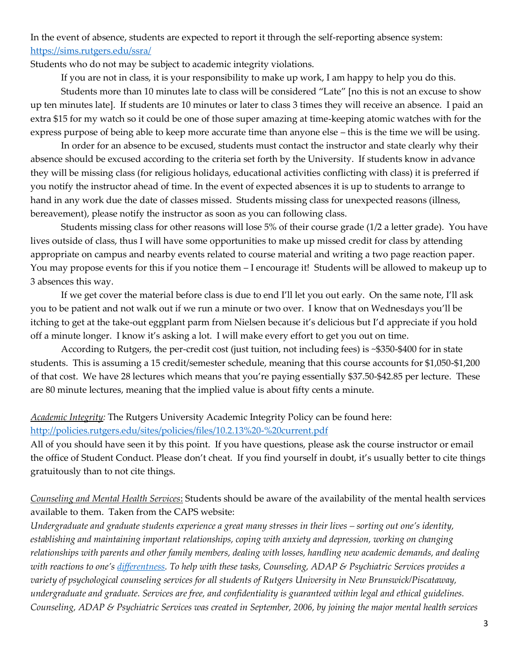In the event of absence, students are expected to report it through the self-reporting absence system: <https://sims.rutgers.edu/ssra/>

Students who do not may be subject to academic integrity violations.

If you are not in class, it is your responsibility to make up work, I am happy to help you do this.

Students more than 10 minutes late to class will be considered "Late" [no this is not an excuse to show up ten minutes late]. If students are 10 minutes or later to class 3 times they will receive an absence. I paid an extra \$15 for my watch so it could be one of those super amazing at time-keeping atomic watches with for the express purpose of being able to keep more accurate time than anyone else – this is the time we will be using.

In order for an absence to be excused, students must contact the instructor and state clearly why their absence should be excused according to the criteria set forth by the University. If students know in advance they will be missing class (for religious holidays, educational activities conflicting with class) it is preferred if you notify the instructor ahead of time. In the event of expected absences it is up to students to arrange to hand in any work due the date of classes missed. Students missing class for unexpected reasons (illness, bereavement), please notify the instructor as soon as you can following class.

Students missing class for other reasons will lose 5% of their course grade (1/2 a letter grade). You have lives outside of class, thus I will have some opportunities to make up missed credit for class by attending appropriate on campus and nearby events related to course material and writing a two page reaction paper. You may propose events for this if you notice them – I encourage it! Students will be allowed to makeup up to 3 absences this way.

If we get cover the material before class is due to end I'll let you out early. On the same note, I'll ask you to be patient and not walk out if we run a minute or two over. I know that on Wednesdays you'll be itching to get at the take-out eggplant parm from Nielsen because it's delicious but I'd appreciate if you hold off a minute longer. I know it's asking a lot. I will make every effort to get you out on time.

According to Rutgers, the per-credit cost (just tuition, not including fees) is ~\$350-\$400 for in state students. This is assuming a 15 credit/semester schedule, meaning that this course accounts for \$1,050-\$1,200 of that cost. We have 28 lectures which means that you're paying essentially \$37.50-\$42.85 per lecture. These are 80 minute lectures, meaning that the implied value is about fifty cents a minute.

*Academic Integrity:* The Rutgers University Academic Integrity Policy can be found here: <http://policies.rutgers.edu/sites/policies/files/10.2.13%20-%20current.pdf>

All of you should have seen it by this point. If you have questions, please ask the course instructor or email the office of Student Conduct. Please don't cheat. If you find yourself in doubt, it's usually better to cite things gratuitously than to not cite things.

*Counseling and Mental Health Services*: Students should be aware of the availability of the mental health services available to them. Taken from the CAPS website:

*Undergraduate and graduate students experience a great many stresses in their lives – sorting out one's identity, establishing and maintaining important relationships, coping with anxiety and depression, working on changing relationships with parents and other family members, dealing with losses, handling new academic demands, and dealing with reactions to one's [differentness.](http://rhscaps.rutgers.edu/general-information/diversity-statement) To help with these tasks, Counseling, ADAP & Psychiatric Services provides a variety of psychological counseling services for all students of Rutgers University in New Brunswick/Piscataway, undergraduate and graduate. Services are free, and confidentiality is guaranteed within legal and ethical guidelines. Counseling, ADAP & Psychiatric Services was created in September, 2006, by joining the major mental health services*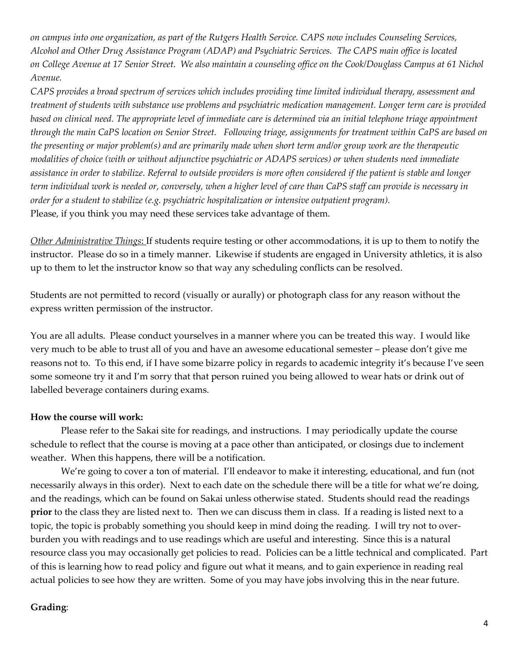*on campus into one organization, as part of the Rutgers Health Service. CAPS now includes Counseling Services, Alcohol and Other Drug Assistance Program (ADAP) and Psychiatric Services. The CAPS main office is located on College Avenue at 17 Senior Street. We also maintain a counseling office on the Cook/Douglass Campus at 61 Nichol Avenue.*

*CAPS provides a broad spectrum of services which includes providing time limited individual therapy, assessment and treatment of students with substance use problems and psychiatric medication management. Longer term care is provided based on clinical need. The appropriate level of immediate care is determined via an initial telephone triage appointment through the main CaPS location on Senior Street. Following triage, assignments for treatment within CaPS are based on the presenting or major problem(s) and are primarily made when short term and/or group work are the therapeutic modalities of choice (with or without adjunctive psychiatric or ADAPS services) or when students need immediate assistance in order to stabilize. Referral to outside providers is more often considered if the patient is stable and longer term individual work is needed or, conversely, when a higher level of care than CaPS staff can provide is necessary in order for a student to stabilize (e.g. psychiatric hospitalization or intensive outpatient program).* Please, if you think you may need these services take advantage of them.

*Other Administrative Things*: If students require testing or other accommodations, it is up to them to notify the instructor. Please do so in a timely manner. Likewise if students are engaged in University athletics, it is also up to them to let the instructor know so that way any scheduling conflicts can be resolved.

Students are not permitted to record (visually or aurally) or photograph class for any reason without the express written permission of the instructor.

You are all adults. Please conduct yourselves in a manner where you can be treated this way. I would like very much to be able to trust all of you and have an awesome educational semester – please don't give me reasons not to. To this end, if I have some bizarre policy in regards to academic integrity it's because I've seen some someone try it and I'm sorry that that person ruined you being allowed to wear hats or drink out of labelled beverage containers during exams.

#### **How the course will work:**

Please refer to the Sakai site for readings, and instructions. I may periodically update the course schedule to reflect that the course is moving at a pace other than anticipated, or closings due to inclement weather. When this happens, there will be a notification.

We're going to cover a ton of material. I'll endeavor to make it interesting, educational, and fun (not necessarily always in this order). Next to each date on the schedule there will be a title for what we're doing, and the readings, which can be found on Sakai unless otherwise stated. Students should read the readings **prior** to the class they are listed next to. Then we can discuss them in class. If a reading is listed next to a topic, the topic is probably something you should keep in mind doing the reading. I will try not to overburden you with readings and to use readings which are useful and interesting. Since this is a natural resource class you may occasionally get policies to read. Policies can be a little technical and complicated. Part of this is learning how to read policy and figure out what it means, and to gain experience in reading real actual policies to see how they are written. Some of you may have jobs involving this in the near future.

### **Grading**: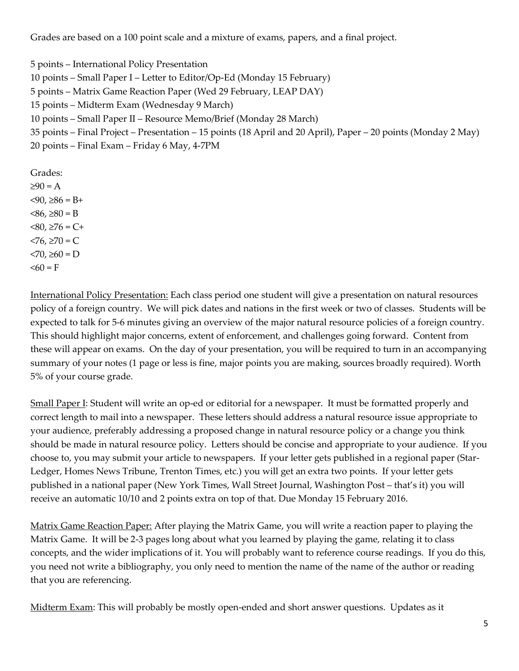Grades are based on a 100 point scale and a mixture of exams, papers, and a final project.

5 points – International Policy Presentation 10 points – Small Paper I – Letter to Editor/Op-Ed (Monday 15 February) 5 points – Matrix Game Reaction Paper (Wed 29 February, LEAP DAY) 15 points – Midterm Exam (Wednesday 9 March) 10 points – Small Paper II – Resource Memo/Brief (Monday 28 March) 35 points – Final Project – Presentation – 15 points (18 April and 20 April), Paper – 20 points (Monday 2 May) 20 points – Final Exam – Friday 6 May, 4-7PM

Grades:  $\geq 90 = A$  $<$ 90, ≥86 = B+  $<86, ≥80 = B$  $< 80, ≥ 76 = C +$  $< 76, ≥ 70 = C$  $< 70, ≥ 60 = D$  $\leq 60$  = F

International Policy Presentation: Each class period one student will give a presentation on natural resources policy of a foreign country. We will pick dates and nations in the first week or two of classes. Students will be expected to talk for 5-6 minutes giving an overview of the major natural resource policies of a foreign country. This should highlight major concerns, extent of enforcement, and challenges going forward. Content from these will appear on exams. On the day of your presentation, you will be required to turn in an accompanying summary of your notes (1 page or less is fine, major points you are making, sources broadly required). Worth 5% of your course grade.

Small Paper I: Student will write an op-ed or editorial for a newspaper. It must be formatted properly and correct length to mail into a newspaper. These letters should address a natural resource issue appropriate to your audience, preferably addressing a proposed change in natural resource policy or a change you think should be made in natural resource policy. Letters should be concise and appropriate to your audience. If you choose to, you may submit your article to newspapers. If your letter gets published in a regional paper (Star-Ledger, Homes News Tribune, Trenton Times, etc.) you will get an extra two points. If your letter gets published in a national paper (New York Times, Wall Street Journal, Washington Post – that's it) you will receive an automatic 10/10 and 2 points extra on top of that. Due Monday 15 February 2016.

Matrix Game Reaction Paper: After playing the Matrix Game, you will write a reaction paper to playing the Matrix Game. It will be 2-3 pages long about what you learned by playing the game, relating it to class concepts, and the wider implications of it. You will probably want to reference course readings. If you do this, you need not write a bibliography, you only need to mention the name of the name of the author or reading that you are referencing.

Midterm Exam: This will probably be mostly open-ended and short answer questions. Updates as it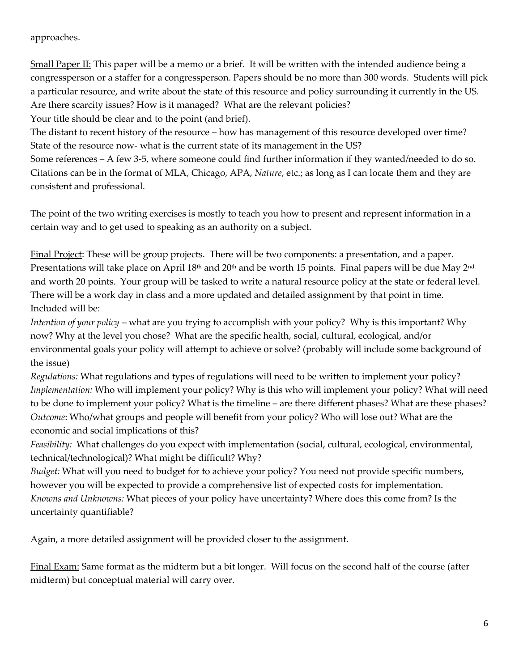### approaches.

Small Paper II: This paper will be a memo or a brief. It will be written with the intended audience being a congressperson or a staffer for a congressperson. Papers should be no more than 300 words. Students will pick a particular resource, and write about the state of this resource and policy surrounding it currently in the US. Are there scarcity issues? How is it managed? What are the relevant policies?

Your title should be clear and to the point (and brief).

The distant to recent history of the resource – how has management of this resource developed over time? State of the resource now- what is the current state of its management in the US?

Some references – A few 3-5, where someone could find further information if they wanted/needed to do so. Citations can be in the format of MLA, Chicago, APA, *Nature*, etc.; as long as I can locate them and they are consistent and professional.

The point of the two writing exercises is mostly to teach you how to present and represent information in a certain way and to get used to speaking as an authority on a subject.

Final Project: These will be group projects. There will be two components: a presentation, and a paper. Presentations will take place on April 18<sup>th</sup> and 20<sup>th</sup> and be worth 15 points. Final papers will be due May 2<sup>nd</sup> and worth 20 points. Your group will be tasked to write a natural resource policy at the state or federal level. There will be a work day in class and a more updated and detailed assignment by that point in time. Included will be:

*Intention of your policy* – what are you trying to accomplish with your policy? Why is this important? Why now? Why at the level you chose? What are the specific health, social, cultural, ecological, and/or environmental goals your policy will attempt to achieve or solve? (probably will include some background of the issue)

*Regulations:* What regulations and types of regulations will need to be written to implement your policy? *Implementation:* Who will implement your policy? Why is this who will implement your policy? What will need to be done to implement your policy? What is the timeline – are there different phases? What are these phases? *Outcome*: Who/what groups and people will benefit from your policy? Who will lose out? What are the economic and social implications of this?

*Feasibility:* What challenges do you expect with implementation (social, cultural, ecological, environmental, technical/technological)? What might be difficult? Why?

*Budget:* What will you need to budget for to achieve your policy? You need not provide specific numbers, however you will be expected to provide a comprehensive list of expected costs for implementation. *Knowns and Unknowns:* What pieces of your policy have uncertainty? Where does this come from? Is the uncertainty quantifiable?

Again, a more detailed assignment will be provided closer to the assignment.

Final Exam: Same format as the midterm but a bit longer. Will focus on the second half of the course (after midterm) but conceptual material will carry over.